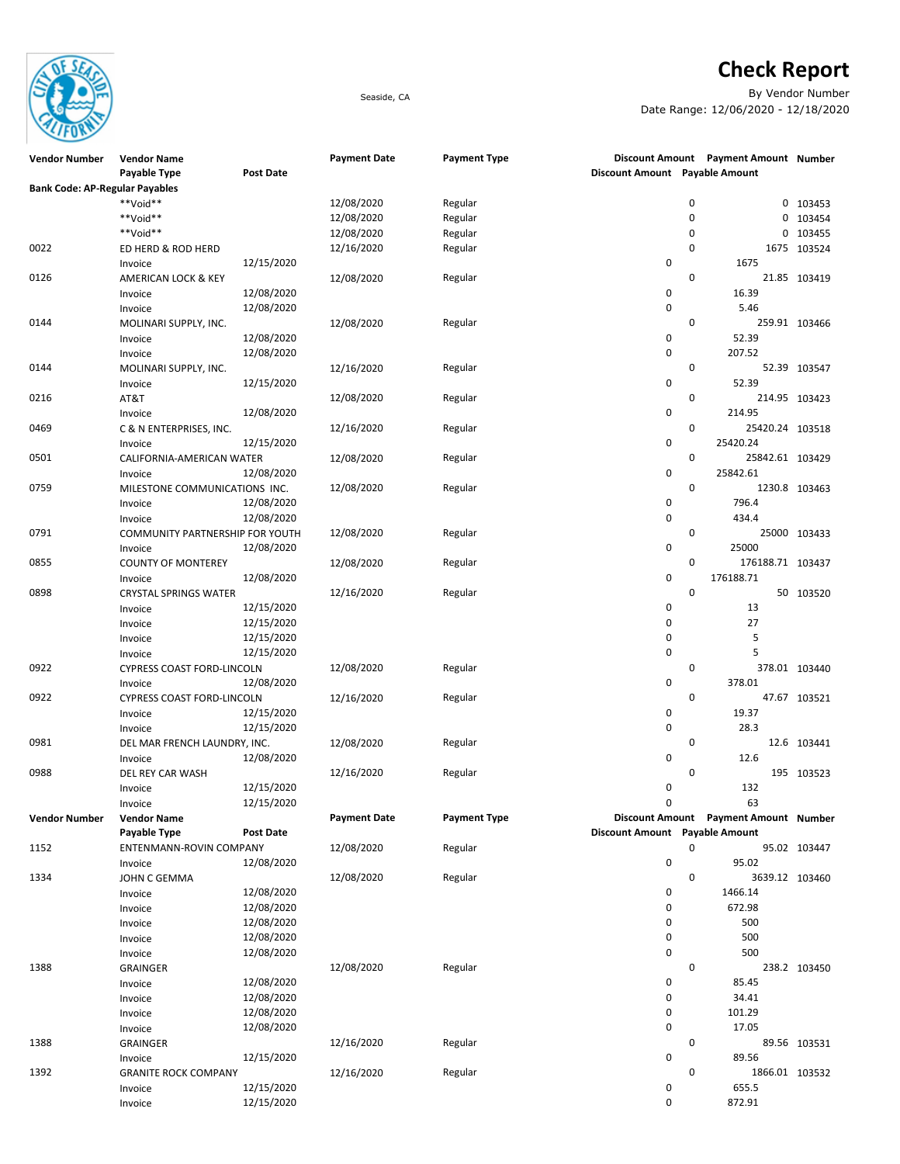

## Check Report

Seaside, CA By Vendor Number Date Range: 12/06/2020 - 12/18/2020

| <b>Vendor Number</b>                  | <b>Vendor Name</b>              |                  | <b>Payment Date</b> | <b>Payment Type</b> |                                |   | Discount Amount Payment Amount Number |                |
|---------------------------------------|---------------------------------|------------------|---------------------|---------------------|--------------------------------|---|---------------------------------------|----------------|
|                                       | Payable Type                    | <b>Post Date</b> |                     |                     | Discount Amount Payable Amount |   |                                       |                |
| <b>Bank Code: AP-Regular Payables</b> |                                 |                  |                     |                     |                                |   |                                       |                |
|                                       | **Void**                        |                  | 12/08/2020          | Regular             |                                | 0 |                                       | 0 103453       |
|                                       | **Void**                        |                  | 12/08/2020          | Regular             |                                | 0 |                                       | 0 103454       |
|                                       | **Void**                        |                  | 12/08/2020          | Regular             |                                | 0 |                                       | 0 103455       |
| 0022                                  | ED HERD & ROD HERD              |                  | 12/16/2020          | Regular             |                                | 0 |                                       | 1675 103524    |
|                                       | Invoice                         | 12/15/2020       |                     |                     | 0                              |   | 1675                                  |                |
| 0126                                  |                                 |                  | 12/08/2020          |                     |                                | 0 |                                       | 21.85 103419   |
|                                       | AMERICAN LOCK & KEY             |                  |                     | Regular             |                                |   |                                       |                |
|                                       | Invoice                         | 12/08/2020       |                     |                     | 0                              |   | 16.39                                 |                |
|                                       | Invoice                         | 12/08/2020       |                     |                     | 0                              |   | 5.46                                  |                |
| 0144                                  | MOLINARI SUPPLY, INC.           |                  | 12/08/2020          | Regular             |                                | 0 |                                       | 259.91 103466  |
|                                       | Invoice                         | 12/08/2020       |                     |                     | 0                              |   | 52.39                                 |                |
|                                       | Invoice                         | 12/08/2020       |                     |                     | 0                              |   | 207.52                                |                |
| 0144                                  | MOLINARI SUPPLY, INC.           |                  | 12/16/2020          | Regular             |                                | 0 |                                       | 52.39 103547   |
|                                       | Invoice                         | 12/15/2020       |                     |                     | 0                              |   | 52.39                                 |                |
| 0216                                  | AT&T                            |                  | 12/08/2020          | Regular             |                                | 0 |                                       | 214.95 103423  |
|                                       | Invoice                         | 12/08/2020       |                     |                     | 0                              |   | 214.95                                |                |
| 0469                                  | C & N ENTERPRISES, INC.         |                  | 12/16/2020          | Regular             |                                | 0 | 25420.24 103518                       |                |
|                                       | Invoice                         | 12/15/2020       |                     |                     | 0                              |   | 25420.24                              |                |
| 0501                                  | CALIFORNIA-AMERICAN WATER       |                  | 12/08/2020          | Regular             |                                | 0 | 25842.61 103429                       |                |
|                                       | Invoice                         | 12/08/2020       |                     |                     | 0                              |   | 25842.61                              |                |
| 0759                                  | MILESTONE COMMUNICATIONS INC.   |                  | 12/08/2020          | Regular             |                                | 0 |                                       | 1230.8 103463  |
|                                       |                                 | 12/08/2020       |                     |                     | 0                              |   | 796.4                                 |                |
|                                       | Invoice                         | 12/08/2020       |                     |                     | 0                              |   | 434.4                                 |                |
|                                       | Invoice                         |                  |                     |                     |                                |   |                                       |                |
| 0791                                  | COMMUNITY PARTNERSHIP FOR YOUTH |                  | 12/08/2020          | Regular             |                                | 0 |                                       | 25000 103433   |
|                                       | Invoice                         | 12/08/2020       |                     |                     | 0                              |   | 25000                                 |                |
| 0855                                  | <b>COUNTY OF MONTEREY</b>       |                  | 12/08/2020          | Regular             |                                | 0 | 176188.71 103437                      |                |
|                                       | Invoice                         | 12/08/2020       |                     |                     | 0                              |   | 176188.71                             |                |
| 0898                                  | <b>CRYSTAL SPRINGS WATER</b>    |                  | 12/16/2020          | Regular             |                                | 0 |                                       | 50 103520      |
|                                       | Invoice                         | 12/15/2020       |                     |                     | 0                              |   | 13                                    |                |
|                                       | Invoice                         | 12/15/2020       |                     |                     | 0                              |   | 27                                    |                |
|                                       | Invoice                         | 12/15/2020       |                     |                     | 0                              |   | 5                                     |                |
|                                       | Invoice                         | 12/15/2020       |                     |                     | 0                              |   | 5                                     |                |
| 0922                                  | CYPRESS COAST FORD-LINCOLN      |                  | 12/08/2020          | Regular             |                                | 0 |                                       | 378.01 103440  |
|                                       | Invoice                         | 12/08/2020       |                     |                     | 0                              |   | 378.01                                |                |
| 0922                                  | CYPRESS COAST FORD-LINCOLN      |                  | 12/16/2020          | Regular             |                                | 0 |                                       | 47.67 103521   |
|                                       | Invoice                         | 12/15/2020       |                     |                     | 0                              |   | 19.37                                 |                |
|                                       |                                 | 12/15/2020       |                     |                     | 0                              |   | 28.3                                  |                |
| 0981                                  | Invoice                         |                  |                     | Regular             |                                | 0 |                                       |                |
|                                       | DEL MAR FRENCH LAUNDRY, INC.    |                  | 12/08/2020          |                     | 0                              |   |                                       | 12.6 103441    |
|                                       | Invoice                         | 12/08/2020       |                     |                     |                                |   | 12.6                                  |                |
| 0988                                  | DEL REY CAR WASH                |                  | 12/16/2020          | Regular             |                                | 0 |                                       | 195 103523     |
|                                       | Invoice                         | 12/15/2020       |                     |                     | 0                              |   | 132                                   |                |
|                                       | Invoice                         | 12/15/2020       |                     |                     | 0                              |   | 63                                    |                |
| <b>Vendor Number</b>                  | <b>Vendor Name</b>              |                  | <b>Payment Date</b> | <b>Payment Type</b> |                                |   | Discount Amount Payment Amount Number |                |
|                                       | Payable Type                    | <b>Post Date</b> |                     |                     | Discount Amount Payable Amount |   |                                       |                |
| 1152                                  | ENTENMANN-ROVIN COMPANY         |                  | 12/08/2020          | Regular             |                                | 0 |                                       | 95.02 103447   |
|                                       | Invoice                         | 12/08/2020       |                     |                     | 0                              |   | 95.02                                 |                |
| 1334                                  | JOHN C GEMMA                    |                  | 12/08/2020          | Regular             |                                | 0 |                                       | 3639.12 103460 |
|                                       | Invoice                         | 12/08/2020       |                     |                     | 0                              |   | 1466.14                               |                |
|                                       | Invoice                         | 12/08/2020       |                     |                     | 0                              |   | 672.98                                |                |
|                                       | Invoice                         | 12/08/2020       |                     |                     | 0                              |   | 500                                   |                |
|                                       | Invoice                         | 12/08/2020       |                     |                     | 0                              |   | 500                                   |                |
|                                       | Invoice                         | 12/08/2020       |                     |                     | 0                              |   | 500                                   |                |
| 1388                                  |                                 |                  | 12/08/2020          | Regular             |                                | 0 |                                       | 238.2 103450   |
|                                       | <b>GRAINGER</b>                 | 12/08/2020       |                     |                     | 0                              |   | 85.45                                 |                |
|                                       | Invoice                         |                  |                     |                     |                                |   |                                       |                |
|                                       | Invoice                         | 12/08/2020       |                     |                     | 0                              |   | 34.41                                 |                |
|                                       | Invoice                         | 12/08/2020       |                     |                     | 0                              |   | 101.29                                |                |
|                                       | Invoice                         | 12/08/2020       |                     |                     | 0                              |   | 17.05                                 |                |
| 1388                                  | <b>GRAINGER</b>                 |                  | 12/16/2020          | Regular             |                                | 0 |                                       | 89.56 103531   |
|                                       | Invoice                         | 12/15/2020       |                     |                     | 0                              |   | 89.56                                 |                |
| 1392                                  | <b>GRANITE ROCK COMPANY</b>     |                  | 12/16/2020          | Regular             |                                | 0 | 1866.01 103532                        |                |
|                                       | Invoice                         | 12/15/2020       |                     |                     | 0                              |   | 655.5                                 |                |
|                                       | Invoice                         | 12/15/2020       |                     |                     | 0                              |   | 872.91                                |                |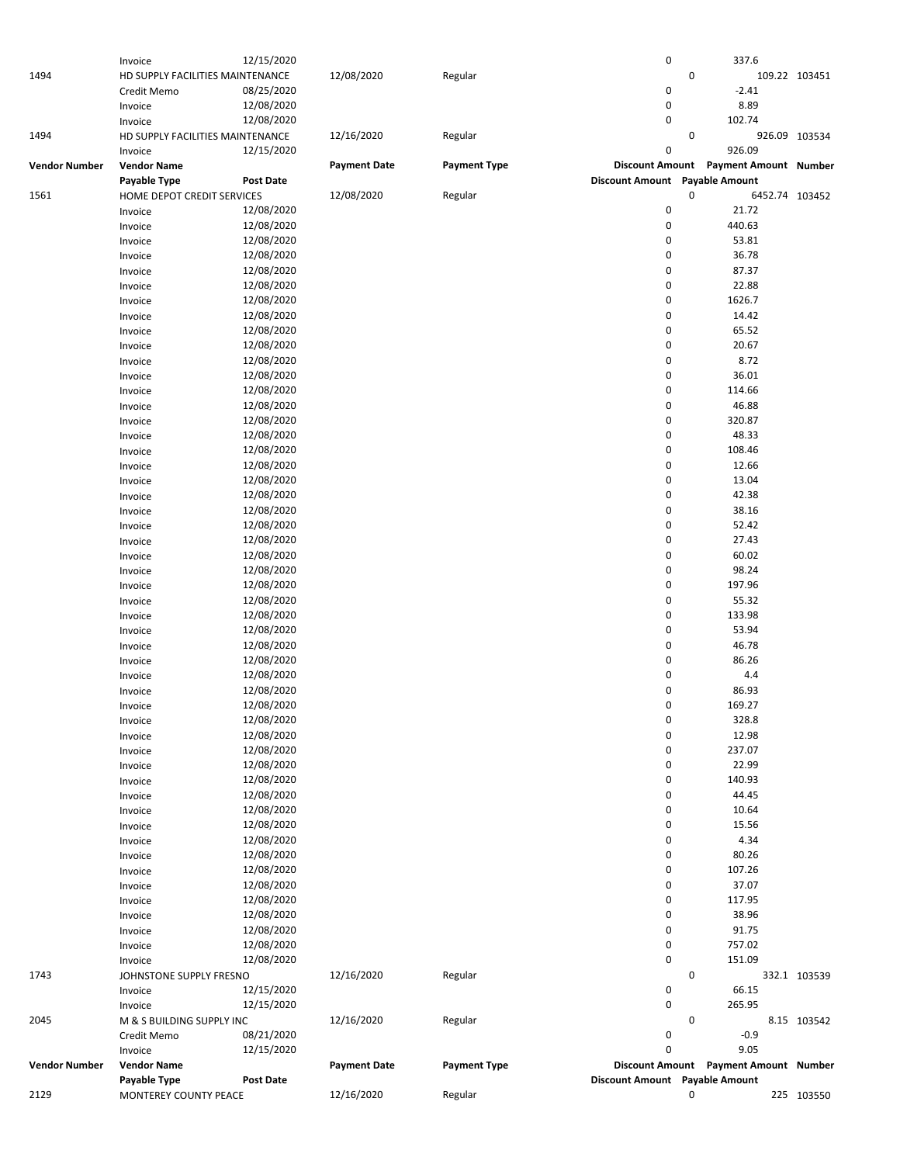|                      | Invoice                          | 12/15/2020       |                     |                     | 0                              | 337.6                                 |                |
|----------------------|----------------------------------|------------------|---------------------|---------------------|--------------------------------|---------------------------------------|----------------|
| 1494                 | HD SUPPLY FACILITIES MAINTENANCE |                  | 12/08/2020          | Regular             |                                | 0                                     | 109.22 103451  |
|                      | Credit Memo                      | 08/25/2020       |                     |                     | 0                              | $-2.41$                               |                |
|                      |                                  |                  |                     |                     |                                |                                       |                |
|                      | Invoice                          | 12/08/2020       |                     |                     | 0                              | 8.89                                  |                |
|                      | Invoice                          | 12/08/2020       |                     |                     | 0                              | 102.74                                |                |
| 1494                 | HD SUPPLY FACILITIES MAINTENANCE |                  | 12/16/2020          | Regular             |                                | 0                                     | 926.09 103534  |
|                      | Invoice                          | 12/15/2020       |                     |                     | 0                              | 926.09                                |                |
|                      |                                  |                  |                     |                     |                                |                                       |                |
| <b>Vendor Number</b> | <b>Vendor Name</b>               |                  | <b>Payment Date</b> | <b>Payment Type</b> |                                | Discount Amount Payment Amount Number |                |
|                      | Payable Type                     | <b>Post Date</b> |                     |                     | Discount Amount Payable Amount |                                       |                |
| 1561                 | HOME DEPOT CREDIT SERVICES       |                  | 12/08/2020          | Regular             |                                | 0                                     | 6452.74 103452 |
|                      | Invoice                          | 12/08/2020       |                     |                     | 0                              | 21.72                                 |                |
|                      | Invoice                          | 12/08/2020       |                     |                     | 0                              | 440.63                                |                |
|                      |                                  |                  |                     |                     | 0                              | 53.81                                 |                |
|                      | Invoice                          | 12/08/2020       |                     |                     |                                |                                       |                |
|                      | Invoice                          | 12/08/2020       |                     |                     | 0                              | 36.78                                 |                |
|                      | Invoice                          | 12/08/2020       |                     |                     | 0                              | 87.37                                 |                |
|                      | Invoice                          | 12/08/2020       |                     |                     | 0                              | 22.88                                 |                |
|                      | Invoice                          | 12/08/2020       |                     |                     | 0                              | 1626.7                                |                |
|                      |                                  |                  |                     |                     |                                |                                       |                |
|                      | Invoice                          | 12/08/2020       |                     |                     | 0                              | 14.42                                 |                |
|                      | Invoice                          | 12/08/2020       |                     |                     | 0                              | 65.52                                 |                |
|                      | Invoice                          | 12/08/2020       |                     |                     | 0                              | 20.67                                 |                |
|                      | Invoice                          | 12/08/2020       |                     |                     | 0                              | 8.72                                  |                |
|                      | Invoice                          | 12/08/2020       |                     |                     | 0                              | 36.01                                 |                |
|                      |                                  |                  |                     |                     |                                |                                       |                |
|                      | Invoice                          | 12/08/2020       |                     |                     | 0                              | 114.66                                |                |
|                      | Invoice                          | 12/08/2020       |                     |                     | 0                              | 46.88                                 |                |
|                      | Invoice                          | 12/08/2020       |                     |                     | 0                              | 320.87                                |                |
|                      | Invoice                          | 12/08/2020       |                     |                     | 0                              | 48.33                                 |                |
|                      | Invoice                          | 12/08/2020       |                     |                     | 0                              | 108.46                                |                |
|                      |                                  |                  |                     |                     | 0                              |                                       |                |
|                      | Invoice                          | 12/08/2020       |                     |                     |                                | 12.66                                 |                |
|                      | Invoice                          | 12/08/2020       |                     |                     | 0                              | 13.04                                 |                |
|                      | Invoice                          | 12/08/2020       |                     |                     | 0                              | 42.38                                 |                |
|                      | Invoice                          | 12/08/2020       |                     |                     | 0                              | 38.16                                 |                |
|                      | Invoice                          | 12/08/2020       |                     |                     | 0                              | 52.42                                 |                |
|                      |                                  |                  |                     |                     |                                |                                       |                |
|                      | Invoice                          | 12/08/2020       |                     |                     | 0                              | 27.43                                 |                |
|                      | Invoice                          | 12/08/2020       |                     |                     | 0                              | 60.02                                 |                |
|                      | Invoice                          | 12/08/2020       |                     |                     | 0                              | 98.24                                 |                |
|                      | Invoice                          | 12/08/2020       |                     |                     | 0                              | 197.96                                |                |
|                      |                                  |                  |                     |                     | 0                              |                                       |                |
|                      | Invoice                          | 12/08/2020       |                     |                     |                                | 55.32                                 |                |
|                      | Invoice                          | 12/08/2020       |                     |                     | 0                              | 133.98                                |                |
|                      | Invoice                          | 12/08/2020       |                     |                     | 0                              | 53.94                                 |                |
|                      | Invoice                          | 12/08/2020       |                     |                     | 0                              | 46.78                                 |                |
|                      | Invoice                          | 12/08/2020       |                     |                     | 0                              | 86.26                                 |                |
|                      |                                  |                  |                     |                     |                                |                                       |                |
|                      | Invoice                          | 12/08/2020       |                     |                     | 0                              | 4.4                                   |                |
|                      | Invoice                          | 12/08/2020       |                     |                     | 0                              | 86.93                                 |                |
|                      | Invoice                          | 12/08/2020       |                     |                     | 0                              | 169.27                                |                |
|                      | Invoice                          | 12/08/2020       |                     |                     | 0                              | 328.8                                 |                |
|                      |                                  | 12/08/2020       |                     |                     | 0                              | 12.98                                 |                |
|                      | Invoice                          |                  |                     |                     |                                |                                       |                |
|                      | Invoice                          | 12/08/2020       |                     |                     | 0                              | 237.07                                |                |
|                      | Invoice                          | 12/08/2020       |                     |                     | 0                              | 22.99                                 |                |
|                      | Invoice                          | 12/08/2020       |                     |                     | 0                              | 140.93                                |                |
|                      | Invoice                          | 12/08/2020       |                     |                     | 0                              | 44.45                                 |                |
|                      |                                  | 12/08/2020       |                     |                     | 0                              | 10.64                                 |                |
|                      | Invoice                          |                  |                     |                     |                                |                                       |                |
|                      | Invoice                          | 12/08/2020       |                     |                     | 0                              | 15.56                                 |                |
|                      | Invoice                          | 12/08/2020       |                     |                     | 0                              | 4.34                                  |                |
|                      | Invoice                          | 12/08/2020       |                     |                     | 0                              | 80.26                                 |                |
|                      | Invoice                          | 12/08/2020       |                     |                     | 0                              | 107.26                                |                |
|                      |                                  |                  |                     |                     |                                |                                       |                |
|                      | Invoice                          | 12/08/2020       |                     |                     | 0                              | 37.07                                 |                |
|                      | Invoice                          | 12/08/2020       |                     |                     | 0                              | 117.95                                |                |
|                      | Invoice                          | 12/08/2020       |                     |                     | 0                              | 38.96                                 |                |
|                      | Invoice                          | 12/08/2020       |                     |                     | 0                              | 91.75                                 |                |
|                      | Invoice                          | 12/08/2020       |                     |                     | 0                              | 757.02                                |                |
|                      |                                  |                  |                     |                     |                                |                                       |                |
|                      | Invoice                          | 12/08/2020       |                     |                     | 0                              | 151.09                                |                |
| 1743                 | JOHNSTONE SUPPLY FRESNO          |                  | 12/16/2020          | Regular             |                                | 0                                     | 332.1 103539   |
|                      | Invoice                          | 12/15/2020       |                     |                     | 0                              | 66.15                                 |                |
|                      | Invoice                          | 12/15/2020       |                     |                     | 0                              | 265.95                                |                |
| 2045                 |                                  |                  |                     |                     |                                | 0                                     |                |
|                      | M & S BUILDING SUPPLY INC        |                  | 12/16/2020          | Regular             |                                |                                       | 8.15 103542    |
|                      | Credit Memo                      | 08/21/2020       |                     |                     | 0                              | $-0.9$                                |                |
|                      | Invoice                          | 12/15/2020       |                     |                     | 0                              | 9.05                                  |                |
| <b>Vendor Number</b> | <b>Vendor Name</b>               |                  | <b>Payment Date</b> | <b>Payment Type</b> |                                | Discount Amount Payment Amount Number |                |
|                      | Payable Type                     | <b>Post Date</b> |                     |                     | Discount Amount Payable Amount |                                       |                |
| 2129                 |                                  |                  |                     |                     |                                | 0                                     |                |
|                      | MONTEREY COUNTY PEACE            |                  | 12/16/2020          | Regular             |                                |                                       | 225 103550     |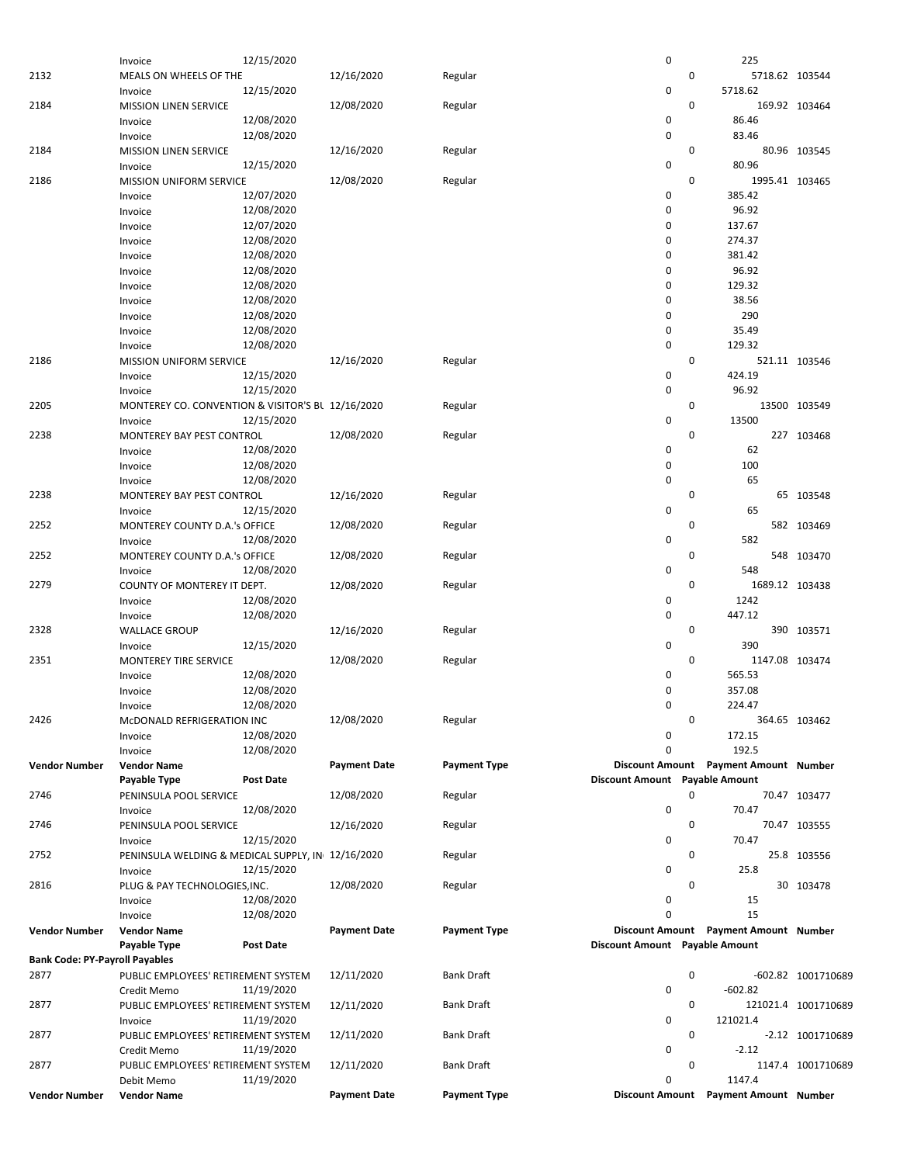|                                       | Invoice                                           | 12/15/2020       |                     |                     | 0                              | 225                                             |    |                     |
|---------------------------------------|---------------------------------------------------|------------------|---------------------|---------------------|--------------------------------|-------------------------------------------------|----|---------------------|
| 2132                                  | MEALS ON WHEELS OF THE                            |                  | 12/16/2020          | Regular             |                                | 0                                               |    | 5718.62 103544      |
|                                       |                                                   |                  |                     |                     | 0                              |                                                 |    |                     |
|                                       | Invoice                                           | 12/15/2020       |                     |                     |                                | 5718.62                                         |    |                     |
| 2184                                  | <b>MISSION LINEN SERVICE</b>                      |                  | 12/08/2020          | Regular             |                                | 0                                               |    | 169.92 103464       |
|                                       | Invoice                                           | 12/08/2020       |                     |                     | 0                              | 86.46                                           |    |                     |
|                                       | Invoice                                           | 12/08/2020       |                     |                     | 0                              | 83.46                                           |    |                     |
| 2184                                  | <b>MISSION LINEN SERVICE</b>                      |                  | 12/16/2020          | Regular             |                                | 0                                               |    | 80.96 103545        |
|                                       |                                                   |                  |                     |                     | 0                              |                                                 |    |                     |
|                                       | Invoice                                           | 12/15/2020       |                     |                     |                                | 80.96                                           |    |                     |
| 2186                                  | <b>MISSION UNIFORM SERVICE</b>                    |                  | 12/08/2020          | Regular             |                                | 0                                               |    | 1995.41 103465      |
|                                       | Invoice                                           | 12/07/2020       |                     |                     | 0                              | 385.42                                          |    |                     |
|                                       | Invoice                                           | 12/08/2020       |                     |                     | 0                              | 96.92                                           |    |                     |
|                                       | Invoice                                           | 12/07/2020       |                     |                     | 0                              | 137.67                                          |    |                     |
|                                       |                                                   |                  |                     |                     |                                |                                                 |    |                     |
|                                       | Invoice                                           | 12/08/2020       |                     |                     | 0                              | 274.37                                          |    |                     |
|                                       | Invoice                                           | 12/08/2020       |                     |                     | 0                              | 381.42                                          |    |                     |
|                                       | Invoice                                           | 12/08/2020       |                     |                     | 0                              | 96.92                                           |    |                     |
|                                       | Invoice                                           | 12/08/2020       |                     |                     | 0                              | 129.32                                          |    |                     |
|                                       |                                                   |                  |                     |                     | 0                              |                                                 |    |                     |
|                                       | Invoice                                           | 12/08/2020       |                     |                     |                                | 38.56                                           |    |                     |
|                                       | Invoice                                           | 12/08/2020       |                     |                     | 0                              | 290                                             |    |                     |
|                                       | Invoice                                           | 12/08/2020       |                     |                     | $\mathbf 0$                    | 35.49                                           |    |                     |
|                                       | Invoice                                           | 12/08/2020       |                     |                     | $\mathbf 0$                    | 129.32                                          |    |                     |
| 2186                                  | <b>MISSION UNIFORM SERVICE</b>                    |                  | 12/16/2020          | Regular             |                                | 0                                               |    | 521.11 103546       |
|                                       |                                                   |                  |                     |                     |                                |                                                 |    |                     |
|                                       | Invoice                                           | 12/15/2020       |                     |                     | 0                              | 424.19                                          |    |                     |
|                                       | Invoice                                           | 12/15/2020       |                     |                     | 0                              | 96.92                                           |    |                     |
| 2205                                  | MONTEREY CO. CONVENTION & VISITOR'S BL 12/16/2020 |                  |                     | Regular             |                                | 0                                               |    | 13500 103549        |
|                                       | Invoice                                           | 12/15/2020       |                     |                     | 0                              | 13500                                           |    |                     |
| 2238                                  |                                                   |                  |                     |                     |                                | 0                                               |    |                     |
|                                       | MONTEREY BAY PEST CONTROL                         |                  | 12/08/2020          | Regular             |                                |                                                 |    | 227 103468          |
|                                       | Invoice                                           | 12/08/2020       |                     |                     | 0                              |                                                 | 62 |                     |
|                                       | Invoice                                           | 12/08/2020       |                     |                     | 0                              | 100                                             |    |                     |
|                                       | Invoice                                           | 12/08/2020       |                     |                     | $\mathbf 0$                    |                                                 | 65 |                     |
| 2238                                  | MONTEREY BAY PEST CONTROL                         |                  | 12/16/2020          | Regular             |                                | 0                                               |    | 65 103548           |
|                                       |                                                   |                  |                     |                     |                                |                                                 |    |                     |
|                                       | Invoice                                           | 12/15/2020       |                     |                     | 0                              |                                                 | 65 |                     |
| 2252                                  | MONTEREY COUNTY D.A.'s OFFICE                     |                  | 12/08/2020          | Regular             |                                | 0                                               |    | 582 103469          |
|                                       | Invoice                                           | 12/08/2020       |                     |                     | 0                              | 582                                             |    |                     |
| 2252                                  | MONTEREY COUNTY D.A.'s OFFICE                     |                  | 12/08/2020          | Regular             |                                | 0                                               |    | 548 103470          |
|                                       |                                                   | 12/08/2020       |                     |                     | 0                              | 548                                             |    |                     |
|                                       | Invoice                                           |                  |                     |                     |                                |                                                 |    |                     |
| 2279                                  | COUNTY OF MONTEREY IT DEPT.                       |                  | 12/08/2020          | Regular             |                                | 0                                               |    | 1689.12 103438      |
|                                       | Invoice                                           | 12/08/2020       |                     |                     | 0                              | 1242                                            |    |                     |
|                                       | Invoice                                           | 12/08/2020       |                     |                     | 0                              | 447.12                                          |    |                     |
| 2328                                  | <b>WALLACE GROUP</b>                              |                  | 12/16/2020          | Regular             |                                | 0                                               |    | 390 103571          |
|                                       |                                                   |                  |                     |                     |                                |                                                 |    |                     |
|                                       | Invoice                                           | 12/15/2020       |                     |                     | 0                              | 390                                             |    |                     |
|                                       |                                                   |                  |                     |                     |                                |                                                 |    | 1147.08 103474      |
| 2351                                  | MONTEREY TIRE SERVICE                             |                  | 12/08/2020          | Regular             |                                | 0                                               |    |                     |
|                                       | Invoice                                           | 12/08/2020       |                     |                     | 0                              | 565.53                                          |    |                     |
|                                       |                                                   |                  |                     |                     |                                |                                                 |    |                     |
|                                       | Invoice                                           | 12/08/2020       |                     |                     | 0                              | 357.08                                          |    |                     |
|                                       | Invoice                                           | 12/08/2020       |                     |                     | 0                              | 224.47                                          |    |                     |
| 2426                                  | McDONALD REFRIGERATION INC                        |                  | 12/08/2020          | Regular             |                                | 0                                               |    | 364.65 103462       |
|                                       | Invoice                                           | 12/08/2020       |                     |                     | 0                              | 172.15                                          |    |                     |
|                                       | Invoice                                           | 12/08/2020       |                     |                     | 0                              | 192.5                                           |    |                     |
|                                       |                                                   |                  |                     |                     |                                |                                                 |    |                     |
| <b>Vendor Number</b>                  | <b>Vendor Name</b>                                |                  | <b>Payment Date</b> | <b>Payment Type</b> |                                | Discount Amount Payment Amount Number           |    |                     |
|                                       | Payable Type                                      | <b>Post Date</b> |                     |                     | Discount Amount Payable Amount |                                                 |    |                     |
| 2746                                  | PENINSULA POOL SERVICE                            |                  | 12/08/2020          | Regular             |                                | 0                                               |    | 70.47 103477        |
|                                       | Invoice                                           | 12/08/2020       |                     |                     | 0                              | 70.47                                           |    |                     |
|                                       |                                                   |                  |                     |                     |                                |                                                 |    |                     |
| 2746                                  | PENINSULA POOL SERVICE                            |                  | 12/16/2020          | Regular             |                                | 0                                               |    | 70.47 103555        |
|                                       | Invoice                                           | 12/15/2020       |                     |                     | 0                              | 70.47                                           |    |                     |
| 2752                                  | PENINSULA WELDING & MEDICAL SUPPLY, IN 12/16/2020 |                  |                     | Regular             |                                | 0                                               |    | 25.8 103556         |
|                                       | Invoice                                           | 12/15/2020       |                     |                     | 0                              | 25.8                                            |    |                     |
| 2816                                  |                                                   |                  |                     | Regular             |                                | 0                                               |    |                     |
|                                       | PLUG & PAY TECHNOLOGIES, INC.                     |                  | 12/08/2020          |                     |                                |                                                 |    | 30 103478           |
|                                       | Invoice                                           | 12/08/2020       |                     |                     | 0                              |                                                 | 15 |                     |
|                                       | Invoice                                           | 12/08/2020       |                     |                     | 0                              |                                                 | 15 |                     |
| <b>Vendor Number</b>                  | <b>Vendor Name</b>                                |                  | <b>Payment Date</b> | <b>Payment Type</b> |                                | Discount Amount Payment Amount Number           |    |                     |
|                                       | Payable Type                                      | Post Date        |                     |                     | Discount Amount Payable Amount |                                                 |    |                     |
| <b>Bank Code: PY-Payroll Payables</b> |                                                   |                  |                     |                     |                                |                                                 |    |                     |
|                                       |                                                   |                  |                     |                     |                                |                                                 |    |                     |
| 2877                                  | PUBLIC EMPLOYEES' RETIREMENT SYSTEM               |                  | 12/11/2020          | <b>Bank Draft</b>   |                                | 0                                               |    | -602.82 1001710689  |
|                                       | Credit Memo                                       | 11/19/2020       |                     |                     | 0                              | $-602.82$                                       |    |                     |
| 2877                                  | PUBLIC EMPLOYEES' RETIREMENT SYSTEM               |                  | 12/11/2020          | <b>Bank Draft</b>   |                                | 0                                               |    | 121021.4 1001710689 |
|                                       | Invoice                                           | 11/19/2020       |                     |                     | 0                              | 121021.4                                        |    |                     |
|                                       |                                                   |                  |                     |                     |                                | 0                                               |    |                     |
| 2877                                  | PUBLIC EMPLOYEES' RETIREMENT SYSTEM               |                  | 12/11/2020          | <b>Bank Draft</b>   |                                |                                                 |    | -2.12 1001710689    |
|                                       | Credit Memo                                       | 11/19/2020       |                     |                     | 0                              | $-2.12$                                         |    |                     |
| 2877                                  | PUBLIC EMPLOYEES' RETIREMENT SYSTEM               |                  | 12/11/2020          | Bank Draft          |                                | 0                                               |    | 1147.4 1001710689   |
|                                       | Debit Memo                                        | 11/19/2020       |                     |                     | 0                              | 1147.4<br>Discount Amount Payment Amount Number |    |                     |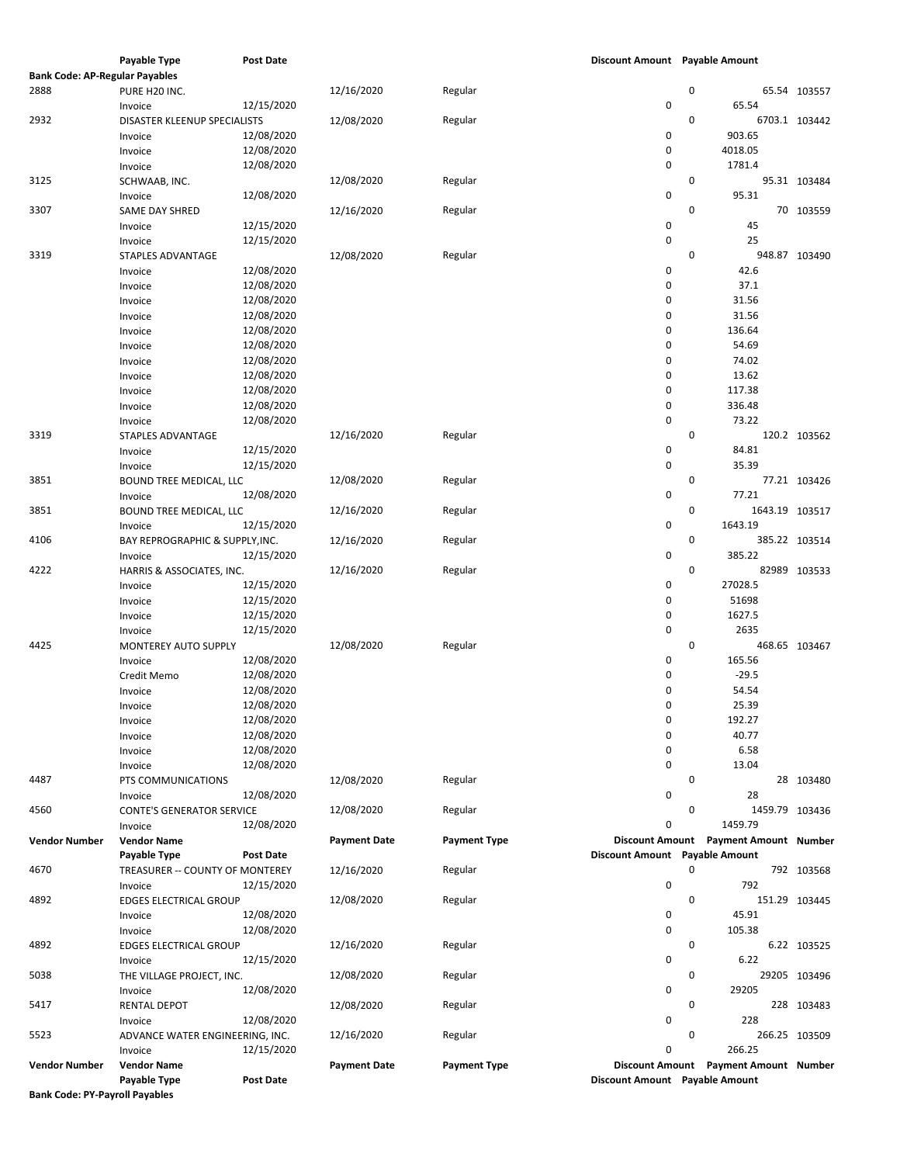|                                       | Invoice                          | 12/15/2020 |                     |                     | 0                              |             | 27028.5                               |               |
|---------------------------------------|----------------------------------|------------|---------------------|---------------------|--------------------------------|-------------|---------------------------------------|---------------|
|                                       |                                  |            |                     |                     |                                |             |                                       |               |
|                                       | Invoice                          | 12/15/2020 |                     |                     | 0                              |             | 51698                                 |               |
|                                       | Invoice                          | 12/15/2020 |                     |                     | 0                              |             | 1627.5                                |               |
|                                       | Invoice                          | 12/15/2020 |                     |                     | 0                              |             | 2635                                  |               |
| 4425                                  | MONTEREY AUTO SUPPLY             |            | 12/08/2020          | Regular             |                                | 0           |                                       | 468.65 103467 |
|                                       | Invoice                          | 12/08/2020 |                     |                     | 0                              |             | 165.56                                |               |
|                                       | Credit Memo                      | 12/08/2020 |                     |                     | 0                              |             | $-29.5$                               |               |
|                                       | Invoice                          | 12/08/2020 |                     |                     | 0                              |             | 54.54                                 |               |
|                                       | Invoice                          | 12/08/2020 |                     |                     | 0                              |             | 25.39                                 |               |
|                                       | Invoice                          | 12/08/2020 |                     |                     | 0                              |             | 192.27                                |               |
|                                       | Invoice                          | 12/08/2020 |                     |                     | 0                              |             | 40.77                                 |               |
|                                       | Invoice                          | 12/08/2020 |                     |                     | 0                              |             | 6.58                                  |               |
|                                       | Invoice                          | 12/08/2020 |                     |                     | 0                              |             | 13.04                                 |               |
| 4487                                  | PTS COMMUNICATIONS               |            | 12/08/2020          | Regular             |                                | 0           |                                       | 28 103480     |
|                                       | Invoice                          | 12/08/2020 |                     |                     | 0                              |             | 28                                    |               |
| 4560                                  | <b>CONTE'S GENERATOR SERVICE</b> |            | 12/08/2020          | Regular             |                                | $\mathbf 0$ | 1459.79 103436                        |               |
|                                       | Invoice                          | 12/08/2020 |                     |                     | 0                              |             | 1459.79                               |               |
| Vendor Number                         | <b>Vendor Name</b>               |            | <b>Payment Date</b> | <b>Payment Type</b> |                                |             | Discount Amount Payment Amount Number |               |
|                                       | Payable Type                     | Post Date  |                     |                     | Discount Amount Payable Amount |             |                                       |               |
|                                       |                                  |            |                     |                     |                                | 0           |                                       |               |
| 4670                                  | TREASURER -- COUNTY OF MONTEREY  |            | 12/16/2020          | Regular             |                                |             |                                       | 792 103568    |
|                                       | Invoice                          | 12/15/2020 |                     |                     | 0                              |             | 792                                   |               |
|                                       |                                  |            |                     |                     |                                |             |                                       |               |
| 4892                                  | <b>EDGES ELECTRICAL GROUP</b>    |            | 12/08/2020          | Regular             |                                | $\mathbf 0$ |                                       | 151.29 103445 |
|                                       |                                  |            |                     |                     |                                |             |                                       |               |
|                                       | Invoice                          | 12/08/2020 |                     |                     | 0                              |             | 45.91                                 |               |
|                                       |                                  |            |                     |                     |                                |             |                                       |               |
|                                       |                                  |            |                     |                     | 0                              |             | 105.38                                |               |
|                                       | Invoice                          | 12/08/2020 |                     |                     |                                |             |                                       |               |
|                                       |                                  |            |                     |                     |                                |             |                                       |               |
| 4892                                  | <b>EDGES ELECTRICAL GROUP</b>    |            | 12/16/2020          | Regular             |                                | 0           |                                       | 6.22 103525   |
|                                       |                                  |            |                     |                     |                                |             |                                       |               |
|                                       | Invoice                          | 12/15/2020 |                     |                     | 0                              |             | 6.22                                  |               |
| 5038                                  | THE VILLAGE PROJECT, INC.        |            | 12/08/2020          | Regular             |                                | 0           |                                       | 29205 103496  |
|                                       |                                  |            |                     |                     |                                |             |                                       |               |
|                                       | Invoice                          | 12/08/2020 |                     |                     | 0                              |             | 29205                                 |               |
| 5417                                  | <b>RENTAL DEPOT</b>              |            | 12/08/2020          | Regular             |                                | 0           |                                       | 228 103483    |
|                                       |                                  | 12/08/2020 |                     |                     | 0                              |             | 228                                   |               |
|                                       | Invoice                          |            |                     |                     |                                |             |                                       |               |
| 5523                                  | ADVANCE WATER ENGINEERING, INC.  |            | 12/16/2020          | Regular             |                                | 0           |                                       | 266.25 103509 |
|                                       | Invoice                          | 12/15/2020 |                     |                     | 0                              |             | 266.25                                |               |
| Vendor Number                         | <b>Vendor Name</b>               |            | <b>Payment Date</b> | <b>Payment Type</b> |                                |             | Discount Amount Payment Amount Number |               |
|                                       |                                  |            |                     |                     |                                |             |                                       |               |
|                                       | Payable Type                     | Post Date  |                     |                     | Discount Amount Payable Amount |             |                                       |               |
| <b>Bank Code: PY-Payroll Payables</b> |                                  |            |                     |                     |                                |             |                                       |               |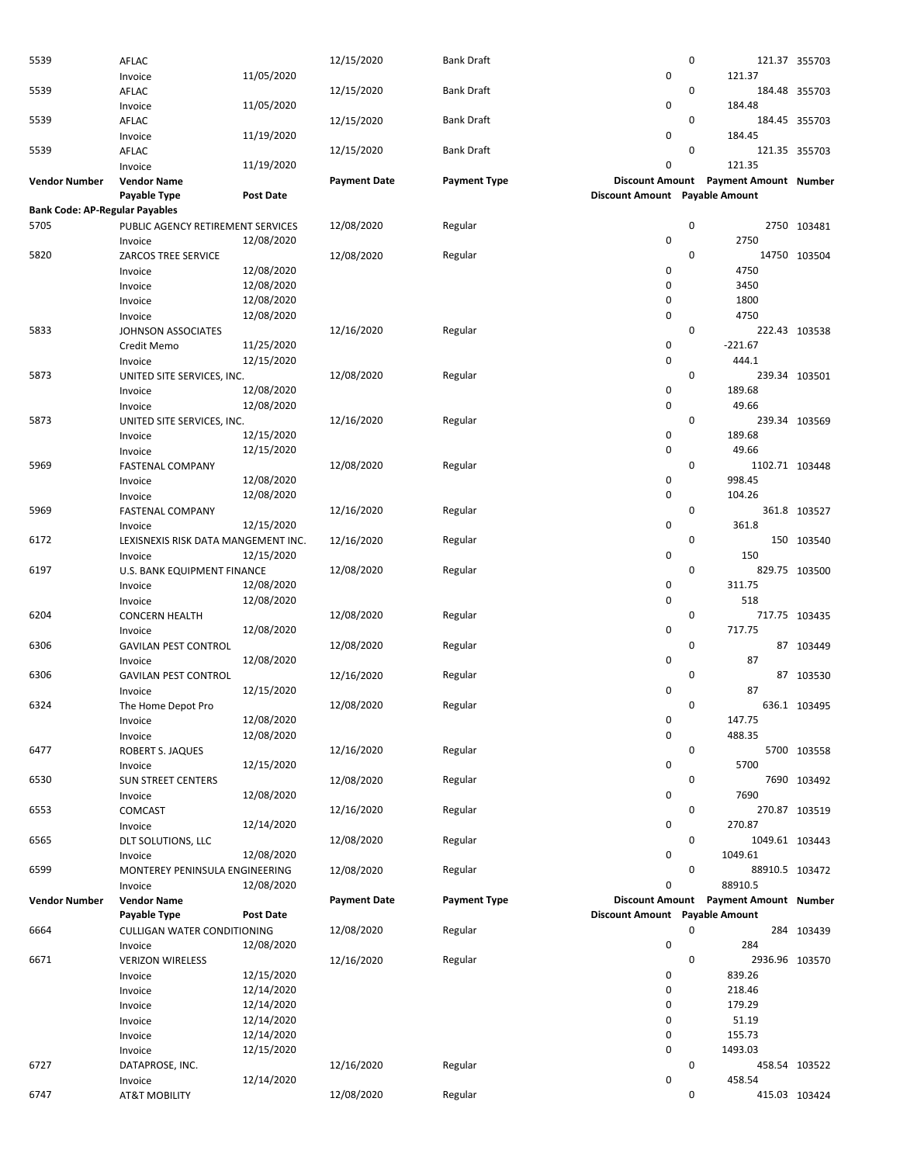| 5539                                  | <b>AFLAC</b>                        |                  | 12/15/2020          | <b>Bank Draft</b>   |                                | $\mathbf 0$ |                                       | 121.37 355703  |
|---------------------------------------|-------------------------------------|------------------|---------------------|---------------------|--------------------------------|-------------|---------------------------------------|----------------|
|                                       | Invoice                             | 11/05/2020       |                     |                     | 0                              |             | 121.37                                |                |
| 5539                                  | <b>AFLAC</b>                        |                  | 12/15/2020          | <b>Bank Draft</b>   |                                | 0           |                                       | 184.48 355703  |
|                                       | Invoice                             | 11/05/2020       |                     |                     | 0                              |             | 184.48                                |                |
| 5539                                  | <b>AFLAC</b>                        |                  | 12/15/2020          | <b>Bank Draft</b>   |                                | $\mathbf 0$ |                                       | 184.45 355703  |
|                                       | Invoice                             | 11/19/2020       |                     |                     | 0                              |             | 184.45                                |                |
| 5539                                  | AFLAC                               |                  | 12/15/2020          | Bank Draft          |                                | 0           |                                       | 121.35 355703  |
|                                       | Invoice                             | 11/19/2020       |                     |                     | 0                              |             | 121.35                                |                |
| Vendor Number                         | <b>Vendor Name</b>                  |                  | <b>Payment Date</b> | <b>Payment Type</b> |                                |             | Discount Amount Payment Amount Number |                |
|                                       | Payable Type                        | Post Date        |                     |                     | Discount Amount Payable Amount |             |                                       |                |
| <b>Bank Code: AP-Regular Payables</b> |                                     |                  |                     |                     |                                |             |                                       |                |
| 5705                                  | PUBLIC AGENCY RETIREMENT SERVICES   |                  | 12/08/2020          | Regular             |                                | 0           |                                       | 2750 103481    |
|                                       | Invoice                             | 12/08/2020       |                     |                     | 0                              |             | 2750                                  |                |
| 5820                                  | ZARCOS TREE SERVICE                 |                  | 12/08/2020          | Regular             |                                | 0           |                                       | 14750 103504   |
|                                       |                                     | 12/08/2020       |                     |                     | 0                              |             | 4750                                  |                |
|                                       | Invoice                             | 12/08/2020       |                     |                     | 0                              |             | 3450                                  |                |
|                                       | Invoice                             |                  |                     |                     | 0                              |             |                                       |                |
|                                       | Invoice                             | 12/08/2020       |                     |                     |                                |             | 1800                                  |                |
|                                       | Invoice                             | 12/08/2020       |                     |                     | 0                              |             | 4750                                  |                |
| 5833                                  | JOHNSON ASSOCIATES                  |                  | 12/16/2020          | Regular             |                                | $\mathbf 0$ |                                       | 222.43 103538  |
|                                       | Credit Memo                         | 11/25/2020       |                     |                     | 0                              |             | $-221.67$                             |                |
|                                       | Invoice                             | 12/15/2020       |                     |                     | 0                              |             | 444.1                                 |                |
| 5873                                  | UNITED SITE SERVICES, INC.          |                  | 12/08/2020          | Regular             |                                | $\mathbf 0$ |                                       | 239.34 103501  |
|                                       | Invoice                             | 12/08/2020       |                     |                     | 0                              |             | 189.68                                |                |
|                                       | Invoice                             | 12/08/2020       |                     |                     | 0                              |             | 49.66                                 |                |
| 5873                                  | UNITED SITE SERVICES, INC.          |                  | 12/16/2020          | Regular             |                                | $\mathbf 0$ |                                       | 239.34 103569  |
|                                       | Invoice                             | 12/15/2020       |                     |                     | 0                              |             | 189.68                                |                |
|                                       | Invoice                             | 12/15/2020       |                     |                     | 0                              |             | 49.66                                 |                |
| 5969                                  | <b>FASTENAL COMPANY</b>             |                  | 12/08/2020          | Regular             |                                | 0           | 1102.71 103448                        |                |
|                                       | Invoice                             | 12/08/2020       |                     |                     | 0                              |             | 998.45                                |                |
|                                       | Invoice                             | 12/08/2020       |                     |                     | 0                              |             | 104.26                                |                |
| 5969                                  | <b>FASTENAL COMPANY</b>             |                  | 12/16/2020          | Regular             |                                | $\mathbf 0$ |                                       | 361.8 103527   |
|                                       | Invoice                             | 12/15/2020       |                     |                     | 0                              |             | 361.8                                 |                |
| 6172                                  | LEXISNEXIS RISK DATA MANGEMENT INC. |                  | 12/16/2020          | Regular             |                                | 0           |                                       | 150 103540     |
|                                       | Invoice                             | 12/15/2020       |                     |                     | 0                              |             | 150                                   |                |
| 6197                                  | U.S. BANK EQUIPMENT FINANCE         |                  | 12/08/2020          | Regular             |                                | $\mathbf 0$ |                                       | 829.75 103500  |
|                                       | Invoice                             | 12/08/2020       |                     |                     | 0                              |             | 311.75                                |                |
|                                       | Invoice                             | 12/08/2020       |                     |                     | 0                              |             | 518                                   |                |
| 6204                                  | <b>CONCERN HEALTH</b>               |                  | 12/08/2020          | Regular             |                                | 0           |                                       | 717.75 103435  |
|                                       | Invoice                             | 12/08/2020       |                     |                     | 0                              |             | 717.75                                |                |
| 6306                                  | <b>GAVILAN PEST CONTROL</b>         |                  | 12/08/2020          | Regular             |                                | 0           |                                       | 87 103449      |
|                                       | Invoice                             | 12/08/2020       |                     |                     | 0                              |             | 87                                    |                |
| 6306                                  | <b>GAVILAN PEST CONTROL</b>         |                  | 12/16/2020          | Regular             |                                | $\mathbf 0$ |                                       | 87 103530      |
|                                       | Invoice                             | 12/15/2020       |                     |                     | 0                              |             | 87                                    |                |
| 6324                                  | The Home Depot Pro                  |                  | 12/08/2020          | Regular             |                                | 0           |                                       | 636.1 103495   |
|                                       |                                     | 12/08/2020       |                     |                     | 0                              |             | 147.75                                |                |
|                                       | Invoice                             | 12/08/2020       |                     |                     | 0                              |             | 488.35                                |                |
|                                       | Invoice                             |                  | 12/16/2020          |                     |                                | 0           |                                       |                |
| 6477                                  | ROBERT S. JAQUES                    |                  |                     | Regular             |                                |             |                                       | 5700 103558    |
|                                       | Invoice                             | 12/15/2020       |                     |                     | 0                              |             | 5700                                  |                |
| 6530                                  | <b>SUN STREET CENTERS</b>           |                  | 12/08/2020          | Regular             |                                | 0           |                                       | 7690 103492    |
|                                       | Invoice                             | 12/08/2020       |                     |                     | 0                              |             | 7690                                  |                |
| 6553                                  | COMCAST                             |                  | 12/16/2020          | Regular             |                                | $\mathbf 0$ |                                       | 270.87 103519  |
|                                       | Invoice                             | 12/14/2020       |                     |                     | 0                              |             | 270.87                                |                |
| 6565                                  | DLT SOLUTIONS, LLC                  |                  | 12/08/2020          | Regular             |                                | 0           |                                       | 1049.61 103443 |
|                                       | Invoice                             | 12/08/2020       |                     |                     | 0                              |             | 1049.61                               |                |
| 6599                                  | MONTEREY PENINSULA ENGINEERING      |                  | 12/08/2020          | Regular             |                                | $\mathbf 0$ |                                       | 88910.5 103472 |
|                                       | Invoice                             | 12/08/2020       |                     |                     | 0                              |             | 88910.5                               |                |
| <b>Vendor Number</b>                  | <b>Vendor Name</b>                  |                  | <b>Payment Date</b> | <b>Payment Type</b> |                                |             | Discount Amount Payment Amount Number |                |
|                                       | Payable Type                        | <b>Post Date</b> |                     |                     | Discount Amount Payable Amount |             |                                       |                |
| 6664                                  | CULLIGAN WATER CONDITIONING         |                  | 12/08/2020          | Regular             |                                | $\mathbf 0$ |                                       | 284 103439     |
|                                       | Invoice                             | 12/08/2020       |                     |                     | 0                              |             | 284                                   |                |
| 6671                                  | <b>VERIZON WIRELESS</b>             |                  | 12/16/2020          | Regular             |                                | $\mathbf 0$ |                                       | 2936.96 103570 |
|                                       | Invoice                             | 12/15/2020       |                     |                     | 0                              |             | 839.26                                |                |
|                                       | Invoice                             | 12/14/2020       |                     |                     | 0                              |             | 218.46                                |                |
|                                       | Invoice                             | 12/14/2020       |                     |                     | 0                              |             | 179.29                                |                |
|                                       | Invoice                             | 12/14/2020       |                     |                     | 0                              |             | 51.19                                 |                |
|                                       | Invoice                             | 12/14/2020       |                     |                     | 0                              |             | 155.73                                |                |
|                                       | Invoice                             | 12/15/2020       |                     |                     | 0                              |             | 1493.03                               |                |
| 6727                                  | DATAPROSE, INC.                     |                  | 12/16/2020          | Regular             |                                | 0           |                                       | 458.54 103522  |
|                                       | Invoice                             | 12/14/2020       |                     |                     | 0                              |             | 458.54                                |                |
| 6747                                  | <b>AT&amp;T MOBILITY</b>            |                  | 12/08/2020          | Regular             |                                | 0           |                                       | 415.03 103424  |
|                                       |                                     |                  |                     |                     |                                |             |                                       |                |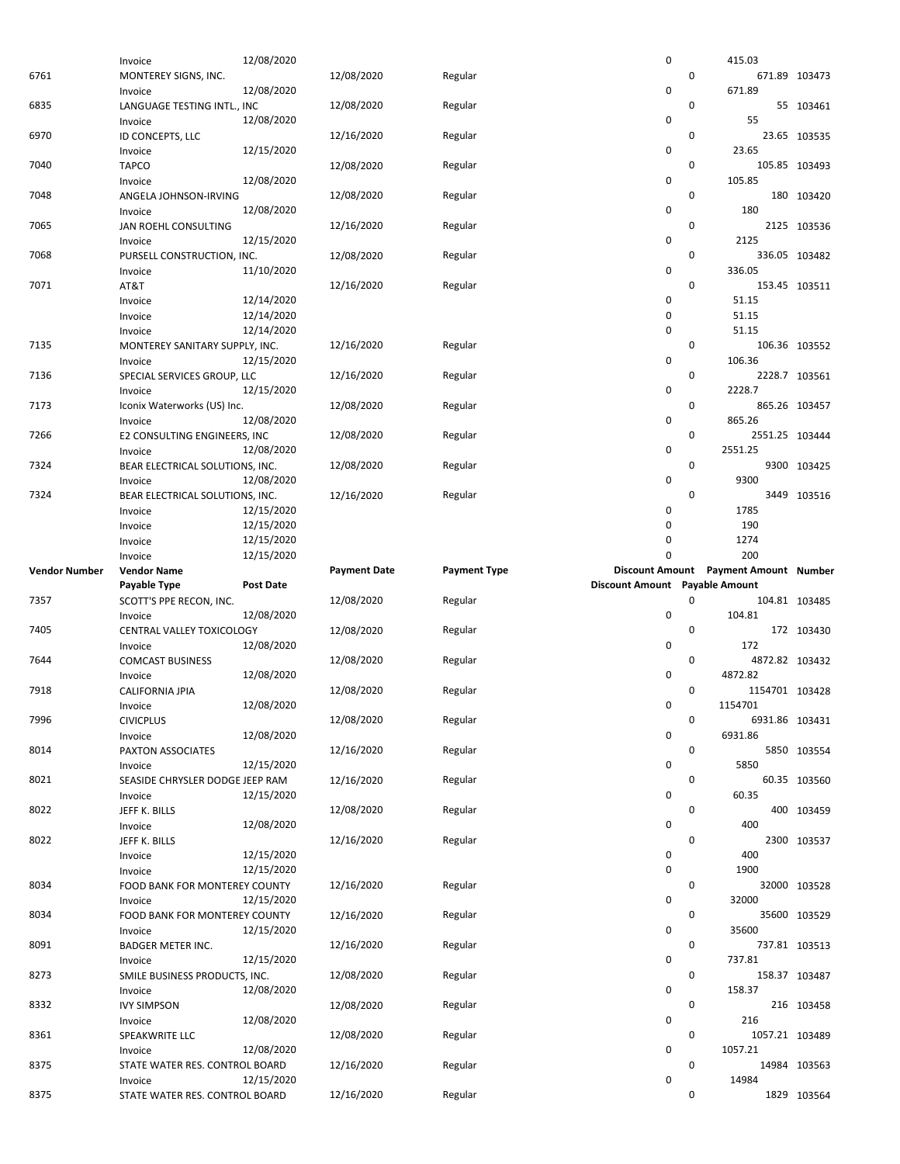|                      | Invoice                         | 12/08/2020       |                     |                     | 0                              |   | 415.03                                |               |
|----------------------|---------------------------------|------------------|---------------------|---------------------|--------------------------------|---|---------------------------------------|---------------|
| 6761                 | MONTEREY SIGNS, INC.            |                  | 12/08/2020          | Regular             |                                | 0 |                                       | 671.89 103473 |
|                      | Invoice                         | 12/08/2020       |                     |                     | 0                              |   | 671.89                                |               |
| 6835                 |                                 |                  | 12/08/2020          |                     |                                | 0 |                                       | 55 103461     |
|                      | LANGUAGE TESTING INTL., INC     |                  |                     | Regular             |                                |   |                                       |               |
|                      | Invoice                         | 12/08/2020       |                     |                     | 0                              |   | 55                                    |               |
| 6970                 | ID CONCEPTS, LLC                |                  | 12/16/2020          | Regular             |                                | 0 |                                       | 23.65 103535  |
|                      | Invoice                         | 12/15/2020       |                     |                     | 0                              |   | 23.65                                 |               |
| 7040                 | <b>TAPCO</b>                    |                  | 12/08/2020          | Regular             |                                | 0 |                                       | 105.85 103493 |
|                      | Invoice                         | 12/08/2020       |                     |                     | 0                              |   | 105.85                                |               |
| 7048                 | ANGELA JOHNSON-IRVING           |                  | 12/08/2020          | Regular             |                                | 0 |                                       | 180 103420    |
|                      | Invoice                         | 12/08/2020       |                     |                     | 0                              |   | 180                                   |               |
|                      |                                 |                  |                     |                     |                                |   |                                       |               |
| 7065                 | JAN ROEHL CONSULTING            |                  | 12/16/2020          | Regular             |                                | 0 |                                       | 2125 103536   |
|                      | Invoice                         | 12/15/2020       |                     |                     | 0                              |   | 2125                                  |               |
| 7068                 | PURSELL CONSTRUCTION, INC.      |                  | 12/08/2020          | Regular             |                                | 0 |                                       | 336.05 103482 |
|                      | Invoice                         | 11/10/2020       |                     |                     | 0                              |   | 336.05                                |               |
| 7071                 | AT&T                            |                  | 12/16/2020          | Regular             |                                | 0 |                                       | 153.45 103511 |
|                      | Invoice                         | 12/14/2020       |                     |                     | 0                              |   | 51.15                                 |               |
|                      |                                 | 12/14/2020       |                     |                     | 0                              |   | 51.15                                 |               |
|                      | Invoice                         |                  |                     |                     |                                |   |                                       |               |
|                      | Invoice                         | 12/14/2020       |                     |                     | 0                              |   | 51.15                                 |               |
| 7135                 | MONTEREY SANITARY SUPPLY, INC.  |                  | 12/16/2020          | Regular             |                                | 0 |                                       | 106.36 103552 |
|                      | Invoice                         | 12/15/2020       |                     |                     | 0                              |   | 106.36                                |               |
| 7136                 | SPECIAL SERVICES GROUP, LLC     |                  | 12/16/2020          | Regular             |                                | 0 |                                       | 2228.7 103561 |
|                      | Invoice                         | 12/15/2020       |                     |                     | 0                              |   | 2228.7                                |               |
| 7173                 | Iconix Waterworks (US) Inc.     |                  | 12/08/2020          | Regular             |                                | 0 |                                       | 865.26 103457 |
|                      |                                 | 12/08/2020       |                     |                     | 0                              |   | 865.26                                |               |
|                      | Invoice                         |                  |                     |                     |                                |   |                                       |               |
| 7266                 | E2 CONSULTING ENGINEERS, INC    |                  | 12/08/2020          | Regular             |                                | 0 | 2551.25 103444                        |               |
|                      | Invoice                         | 12/08/2020       |                     |                     | 0                              |   | 2551.25                               |               |
| 7324                 | BEAR ELECTRICAL SOLUTIONS, INC. |                  | 12/08/2020          | Regular             |                                | 0 |                                       | 9300 103425   |
|                      | Invoice                         | 12/08/2020       |                     |                     | 0                              |   | 9300                                  |               |
| 7324                 | BEAR ELECTRICAL SOLUTIONS, INC. |                  | 12/16/2020          | Regular             |                                | 0 |                                       | 3449 103516   |
|                      | Invoice                         | 12/15/2020       |                     |                     | 0                              |   | 1785                                  |               |
|                      |                                 | 12/15/2020       |                     |                     | 0                              |   | 190                                   |               |
|                      | Invoice                         |                  |                     |                     |                                |   |                                       |               |
|                      | Invoice                         | 12/15/2020       |                     |                     | 0                              |   | 1274                                  |               |
|                      | Invoice                         | 12/15/2020       |                     |                     | 0                              |   | 200                                   |               |
|                      |                                 |                  |                     |                     |                                |   |                                       |               |
| <b>Vendor Number</b> | <b>Vendor Name</b>              |                  | <b>Payment Date</b> | <b>Payment Type</b> |                                |   | Discount Amount Payment Amount Number |               |
|                      | Payable Type                    | <b>Post Date</b> |                     |                     | Discount Amount Payable Amount |   |                                       |               |
| 7357                 | SCOTT'S PPE RECON, INC.         |                  | 12/08/2020          | Regular             |                                | 0 |                                       | 104.81 103485 |
|                      | Invoice                         | 12/08/2020       |                     |                     | 0                              |   | 104.81                                |               |
|                      |                                 |                  |                     |                     |                                |   |                                       |               |
| 7405                 | CENTRAL VALLEY TOXICOLOGY       |                  | 12/08/2020          | Regular             |                                | 0 |                                       | 172 103430    |
|                      | Invoice                         | 12/08/2020       |                     |                     | 0                              |   | 172                                   |               |
| 7644                 | <b>COMCAST BUSINESS</b>         |                  | 12/08/2020          | Regular             |                                | 0 | 4872.82 103432                        |               |
|                      | Invoice                         | 12/08/2020       |                     |                     | 0                              |   | 4872.82                               |               |
| 7918                 | CALIFORNIA JPIA                 |                  | 12/08/2020          | Regular             |                                | 0 | 1154701 103428                        |               |
|                      | Invoice                         | 12/08/2020       |                     |                     | 0                              |   | 1154701                               |               |
| 7996                 | <b>CIVICPLUS</b>                |                  | 12/08/2020          | Regular             |                                | 0 | 6931.86 103431                        |               |
|                      |                                 | 12/08/2020       |                     |                     | 0                              |   | 6931.86                               |               |
|                      | Invoice                         |                  |                     |                     |                                |   |                                       |               |
| 8014                 | PAXTON ASSOCIATES               |                  | 12/16/2020          | Regular             |                                | 0 |                                       | 5850 103554   |
|                      | Invoice                         | 12/15/2020       |                     |                     | 0                              |   | 5850                                  |               |
| 8021                 | SEASIDE CHRYSLER DODGE JEEP RAM |                  | 12/16/2020          | Regular             |                                | 0 |                                       | 60.35 103560  |
|                      | Invoice                         | 12/15/2020       |                     |                     | 0                              |   | 60.35                                 |               |
| 8022                 | JEFF K. BILLS                   |                  | 12/08/2020          | Regular             |                                | 0 |                                       | 400 103459    |
|                      | Invoice                         | 12/08/2020       |                     |                     | 0                              |   | 400                                   |               |
| 8022                 | JEFF K. BILLS                   |                  | 12/16/2020          | Regular             |                                | 0 |                                       | 2300 103537   |
|                      |                                 | 12/15/2020       |                     |                     |                                |   | 400                                   |               |
|                      | Invoice                         |                  |                     |                     | 0                              |   |                                       |               |
|                      | Invoice                         | 12/15/2020       |                     |                     | 0                              |   | 1900                                  |               |
| 8034                 | FOOD BANK FOR MONTEREY COUNTY   |                  | 12/16/2020          | Regular             |                                | 0 |                                       | 32000 103528  |
|                      | Invoice                         | 12/15/2020       |                     |                     | 0                              |   | 32000                                 |               |
| 8034                 | FOOD BANK FOR MONTEREY COUNTY   |                  | 12/16/2020          | Regular             |                                | 0 |                                       | 35600 103529  |
|                      | Invoice                         | 12/15/2020       |                     |                     | 0                              |   | 35600                                 |               |
| 8091                 | <b>BADGER METER INC.</b>        |                  | 12/16/2020          | Regular             |                                | 0 |                                       | 737.81 103513 |
|                      | Invoice                         | 12/15/2020       |                     |                     | 0                              |   | 737.81                                |               |
| 8273                 | SMILE BUSINESS PRODUCTS, INC.   |                  | 12/08/2020          | Regular             |                                | 0 |                                       | 158.37 103487 |
|                      |                                 |                  |                     |                     | 0                              |   | 158.37                                |               |
|                      | Invoice                         | 12/08/2020       |                     |                     |                                |   |                                       |               |
| 8332                 | <b>IVY SIMPSON</b>              |                  | 12/08/2020          | Regular             |                                | 0 |                                       | 216 103458    |
|                      | Invoice                         | 12/08/2020       |                     |                     | 0                              |   | 216                                   |               |
| 8361                 | SPEAKWRITE LLC                  |                  | 12/08/2020          | Regular             |                                | 0 | 1057.21 103489                        |               |
|                      | Invoice                         | 12/08/2020       |                     |                     | 0                              |   | 1057.21                               |               |
| 8375                 | STATE WATER RES. CONTROL BOARD  |                  | 12/16/2020          | Regular             |                                | 0 |                                       | 14984 103563  |
|                      | Invoice                         | 12/15/2020       |                     |                     | 0                              |   | 14984                                 |               |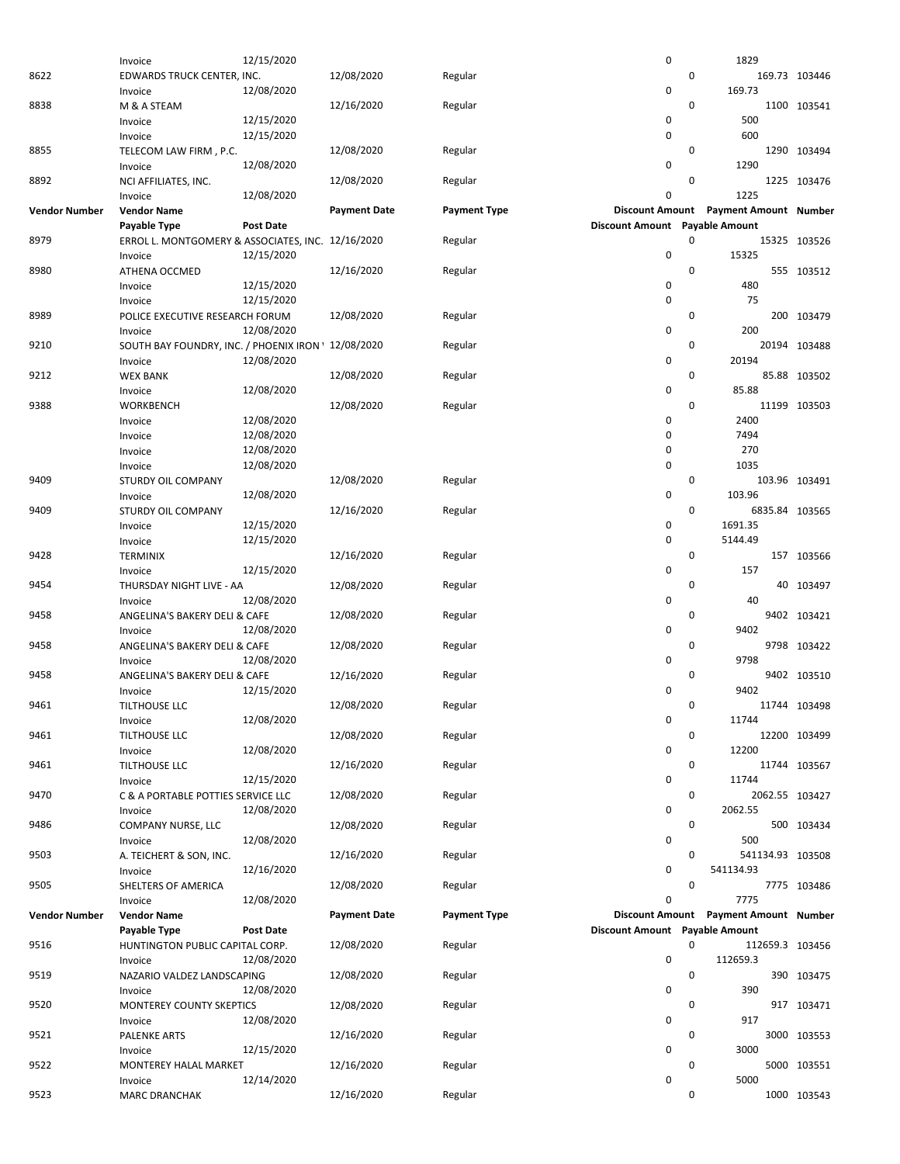|                      | Invoice                                             | 12/15/2020       |                     |                     | 0                              |   | 1829                                  |               |
|----------------------|-----------------------------------------------------|------------------|---------------------|---------------------|--------------------------------|---|---------------------------------------|---------------|
| 8622                 | EDWARDS TRUCK CENTER, INC.                          |                  | 12/08/2020          | Regular             |                                | 0 |                                       | 169.73 103446 |
|                      | Invoice                                             | 12/08/2020       |                     |                     | 0                              |   | 169.73                                |               |
|                      |                                                     |                  |                     |                     |                                |   |                                       |               |
| 8838                 | M & A STEAM                                         |                  | 12/16/2020          | Regular             |                                | 0 |                                       | 1100 103541   |
|                      | Invoice                                             | 12/15/2020       |                     |                     | 0                              |   | 500                                   |               |
|                      | Invoice                                             | 12/15/2020       |                     |                     | 0                              |   | 600                                   |               |
| 8855                 | TELECOM LAW FIRM, P.C.                              |                  | 12/08/2020          | Regular             |                                | 0 |                                       | 1290 103494   |
|                      | Invoice                                             | 12/08/2020       |                     |                     | 0                              |   | 1290                                  |               |
| 8892                 |                                                     |                  |                     |                     |                                | 0 |                                       | 1225 103476   |
|                      | NCI AFFILIATES, INC.                                |                  | 12/08/2020          | Regular             |                                |   |                                       |               |
|                      | Invoice                                             | 12/08/2020       |                     |                     | 0                              |   | 1225                                  |               |
| <b>Vendor Number</b> | <b>Vendor Name</b>                                  |                  | <b>Payment Date</b> | <b>Payment Type</b> |                                |   | Discount Amount Payment Amount Number |               |
|                      | Payable Type                                        | <b>Post Date</b> |                     |                     | Discount Amount Payable Amount |   |                                       |               |
| 8979                 | ERROL L. MONTGOMERY & ASSOCIATES, INC. 12/16/2020   |                  |                     | Regular             |                                | 0 |                                       | 15325 103526  |
|                      | Invoice                                             | 12/15/2020       |                     |                     | 0                              |   | 15325                                 |               |
| 8980                 |                                                     |                  |                     |                     |                                | 0 |                                       |               |
|                      | ATHENA OCCMED                                       |                  | 12/16/2020          | Regular             |                                |   |                                       | 555 103512    |
|                      | Invoice                                             | 12/15/2020       |                     |                     | 0                              |   | 480                                   |               |
|                      | Invoice                                             | 12/15/2020       |                     |                     | 0                              |   | 75                                    |               |
| 8989                 | POLICE EXECUTIVE RESEARCH FORUM                     |                  | 12/08/2020          | Regular             |                                | 0 |                                       | 200 103479    |
|                      | Invoice                                             | 12/08/2020       |                     |                     | 0                              |   | 200                                   |               |
| 9210                 | SOUTH BAY FOUNDRY, INC. / PHOENIX IRON ' 12/08/2020 |                  |                     | Regular             |                                | 0 |                                       | 20194 103488  |
|                      |                                                     | 12/08/2020       |                     |                     | 0                              |   | 20194                                 |               |
|                      | Invoice                                             |                  |                     |                     |                                |   |                                       |               |
| 9212                 | <b>WEX BANK</b>                                     |                  | 12/08/2020          | Regular             |                                | 0 |                                       | 85.88 103502  |
|                      | Invoice                                             | 12/08/2020       |                     |                     | 0                              |   | 85.88                                 |               |
| 9388                 | WORKBENCH                                           |                  | 12/08/2020          | Regular             |                                | 0 |                                       | 11199 103503  |
|                      | Invoice                                             | 12/08/2020       |                     |                     | 0                              |   | 2400                                  |               |
|                      | Invoice                                             | 12/08/2020       |                     |                     | 0                              |   | 7494                                  |               |
|                      |                                                     |                  |                     |                     |                                |   | 270                                   |               |
|                      | Invoice                                             | 12/08/2020       |                     |                     | 0                              |   |                                       |               |
|                      | Invoice                                             | 12/08/2020       |                     |                     | 0                              |   | 1035                                  |               |
| 9409                 | <b>STURDY OIL COMPANY</b>                           |                  | 12/08/2020          | Regular             |                                | 0 |                                       | 103.96 103491 |
|                      | Invoice                                             | 12/08/2020       |                     |                     | 0                              |   | 103.96                                |               |
| 9409                 | <b>STURDY OIL COMPANY</b>                           |                  | 12/16/2020          | Regular             |                                | 0 | 6835.84 103565                        |               |
|                      | Invoice                                             | 12/15/2020       |                     |                     | 0                              |   | 1691.35                               |               |
|                      |                                                     |                  |                     |                     |                                |   |                                       |               |
|                      | Invoice                                             | 12/15/2020       |                     |                     | 0                              |   | 5144.49                               |               |
| 9428                 | <b>TERMINIX</b>                                     |                  | 12/16/2020          | Regular             |                                | 0 |                                       | 157 103566    |
|                      | Invoice                                             | 12/15/2020       |                     |                     | 0                              |   | 157                                   |               |
| 9454                 | THURSDAY NIGHT LIVE - AA                            |                  | 12/08/2020          | Regular             |                                | 0 | 40                                    | 103497        |
|                      | Invoice                                             | 12/08/2020       |                     |                     | 0                              |   | 40                                    |               |
| 9458                 | ANGELINA'S BAKERY DELI & CAFE                       |                  | 12/08/2020          | Regular             |                                | 0 |                                       | 9402 103421   |
|                      |                                                     |                  |                     |                     |                                |   |                                       |               |
|                      | Invoice                                             | 12/08/2020       |                     |                     | 0                              |   | 9402                                  |               |
| 9458                 | ANGELINA'S BAKERY DELI & CAFE                       |                  | 12/08/2020          | Regular             |                                | 0 |                                       | 9798 103422   |
|                      | Invoice                                             | 12/08/2020       |                     |                     |                                |   | 9798                                  |               |
| 9458                 |                                                     |                  |                     |                     | 0                              |   |                                       |               |
|                      | ANGELINA'S BAKERY DELI & CAFE                       |                  | 12/16/2020          | Regular             |                                | 0 |                                       | 9402 103510   |
|                      |                                                     |                  |                     |                     |                                |   |                                       |               |
|                      | Invoice                                             | 12/15/2020       |                     |                     | 0                              |   | 9402                                  |               |
| 9461                 | TILTHOUSE LLC                                       |                  | 12/08/2020          | Regular             |                                | 0 |                                       | 11744 103498  |
|                      | Invoice                                             | 12/08/2020       |                     |                     | 0                              |   | 11744                                 |               |
| 9461                 | <b>TILTHOUSE LLC</b>                                |                  | 12/08/2020          | Regular             |                                | 0 |                                       | 12200 103499  |
|                      | Invoice                                             | 12/08/2020       |                     |                     | 0                              |   | 12200                                 |               |
| 9461                 |                                                     |                  |                     |                     |                                | 0 |                                       |               |
|                      | TILTHOUSE LLC                                       |                  | 12/16/2020          | Regular             |                                |   |                                       | 11744 103567  |
|                      | Invoice                                             | 12/15/2020       |                     |                     | 0                              |   | 11744                                 |               |
| 9470                 | C & A PORTABLE POTTIES SERVICE LLC                  |                  | 12/08/2020          | Regular             |                                | 0 | 2062.55 103427                        |               |
|                      | Invoice                                             | 12/08/2020       |                     |                     | 0                              |   | 2062.55                               |               |
| 9486                 | COMPANY NURSE, LLC                                  |                  | 12/08/2020          | Regular             |                                | 0 |                                       | 500 103434    |
|                      | Invoice                                             | 12/08/2020       |                     |                     | 0                              |   | 500                                   |               |
|                      |                                                     |                  |                     |                     |                                | 0 |                                       |               |
| 9503                 | A. TEICHERT & SON, INC.                             |                  | 12/16/2020          | Regular             |                                |   | 541134.93 103508                      |               |
|                      | Invoice                                             | 12/16/2020       |                     |                     | 0                              |   | 541134.93                             |               |
| 9505                 | SHELTERS OF AMERICA                                 |                  | 12/08/2020          | Regular             |                                | 0 |                                       | 7775 103486   |
|                      | Invoice                                             | 12/08/2020       |                     |                     | 0                              |   | 7775                                  |               |
| <b>Vendor Number</b> | <b>Vendor Name</b>                                  |                  | <b>Payment Date</b> | <b>Payment Type</b> |                                |   | Discount Amount Payment Amount Number |               |
|                      | Payable Type                                        | Post Date        |                     |                     | Discount Amount Payable Amount |   |                                       |               |
|                      |                                                     |                  |                     |                     |                                | 0 |                                       |               |
| 9516                 | HUNTINGTON PUBLIC CAPITAL CORP.                     |                  | 12/08/2020          | Regular             |                                |   | 112659.3 103456                       |               |
|                      | Invoice                                             | 12/08/2020       |                     |                     | 0                              |   | 112659.3                              |               |
| 9519                 | NAZARIO VALDEZ LANDSCAPING                          |                  | 12/08/2020          | Regular             |                                | 0 |                                       | 390 103475    |
|                      | Invoice                                             | 12/08/2020       |                     |                     | 0                              |   | 390                                   |               |
| 9520                 | MONTEREY COUNTY SKEPTICS                            |                  | 12/08/2020          | Regular             |                                | 0 |                                       | 917 103471    |
|                      | Invoice                                             | 12/08/2020       |                     |                     | 0                              |   | 917                                   |               |
| 9521                 | <b>PALENKE ARTS</b>                                 |                  | 12/16/2020          | Regular             |                                | 0 |                                       | 3000 103553   |
|                      |                                                     |                  |                     |                     |                                |   | 3000                                  |               |
|                      | Invoice                                             | 12/15/2020       |                     |                     | 0                              |   |                                       |               |
| 9522                 | MONTEREY HALAL MARKET                               |                  | 12/16/2020          | Regular             |                                | 0 |                                       | 5000 103551   |
| 9523                 | Invoice<br><b>MARC DRANCHAK</b>                     | 12/14/2020       | 12/16/2020          | Regular             | 0                              | 0 | 5000                                  | 1000 103543   |